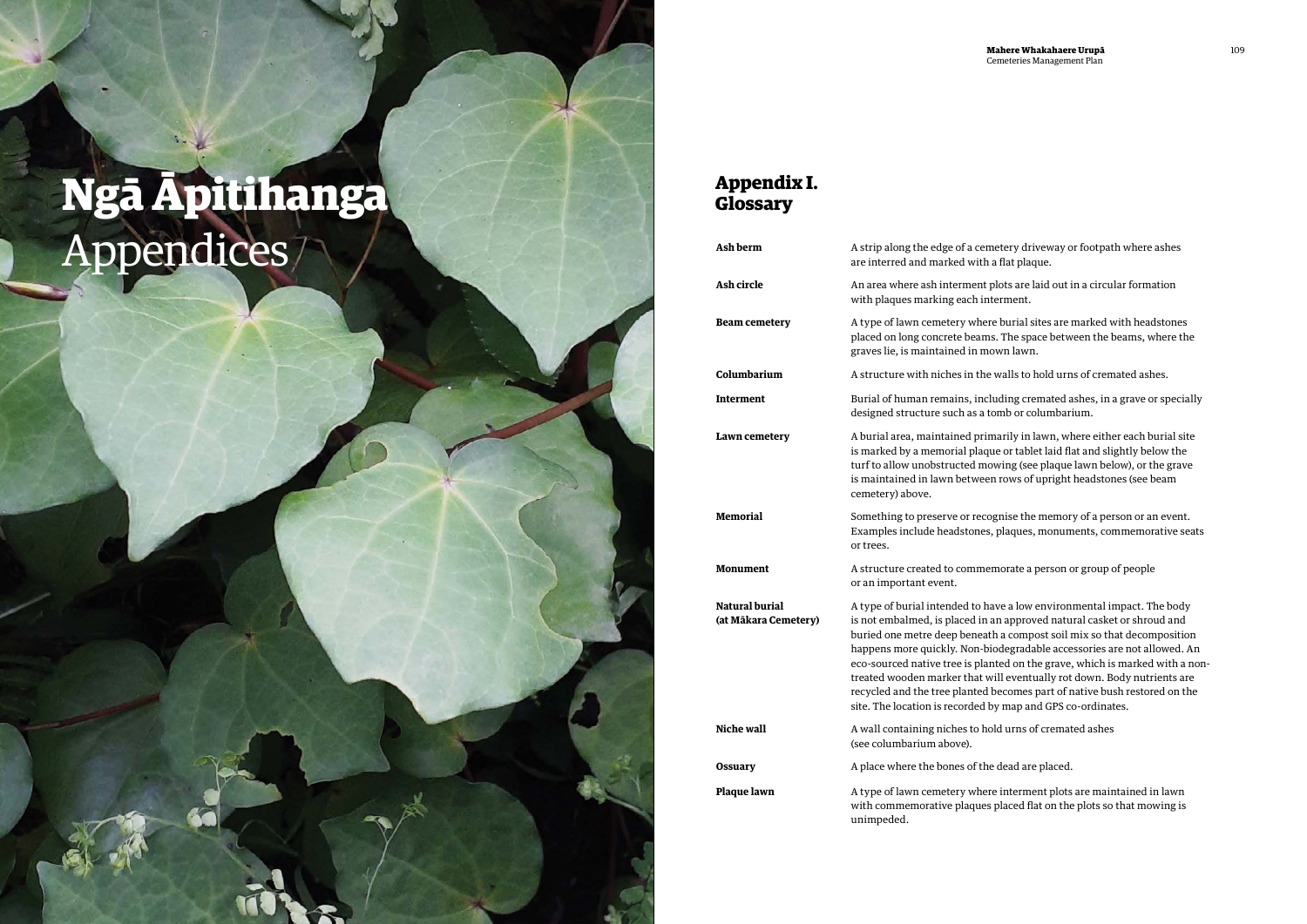f a cemetery driveway or footpath where ashes with a flat plaque.

**Ash circle** An area where ash interment plots are laid out in a circular formation uch interment.

where burial sites are marked with headstones beams. The space between the beams, where the in mown lawn.

in the walls to hold urns of cremated ashes.

**Including cremated ashes, in a grave or specially** as a tomb or columbarium.

d primarily in lawn, where either each burial site I plaque or tablet laid flat and slightly below the ed mowing (see plaque lawn below), or the grave etween rows of upright headstones (see beam

or recognise the memory of a person or an event. tones, plaques, monuments, commemorative seats

mondate a person or group of people

d to have a low environmental impact. The body ed in an approved natural casket or shroud and eneath a compost soil mix so that decomposition Von-biodegradable accessories are not allowed. An is planted on the grave, which is marked with a nonthat will eventually rot down. Body nutrients are anted becomes part of native bush restored on the rded by map and GPS co-ordinates.

**k** to hold urns of cremated ashes

of the dead are placed.

where interment plots are maintained in lawn aques placed flat on the plots so that mowing is

| Ash berm                                      | A strip along the edge of a<br>are interred and marked v                                                                                                                                                                               |
|-----------------------------------------------|----------------------------------------------------------------------------------------------------------------------------------------------------------------------------------------------------------------------------------------|
| Ash circle                                    | An area where ash interm<br>with plaques marking eac                                                                                                                                                                                   |
| <b>Beam cemetery</b>                          | A type of lawn cemetery v<br>placed on long concrete be<br>graves lie, is maintained i                                                                                                                                                 |
| Columbarium                                   | A structure with niches in                                                                                                                                                                                                             |
| Interment                                     | Burial of human remains,<br>designed structure such a                                                                                                                                                                                  |
| Lawn cemetery                                 | A burial area, maintained<br>is marked by a memorial p<br>turf to allow unobstructed<br>is maintained in lawn bet<br>cemetery) above.                                                                                                  |
| <b>Memorial</b>                               | Something to preserve or<br>Examples include headsto<br>or trees.                                                                                                                                                                      |
| Monument                                      | A structure created to con<br>or an important event.                                                                                                                                                                                   |
| <b>Natural burial</b><br>(at Mākara Cemetery) | A type of burial intended<br>is not embalmed, is place<br>buried one metre deep be<br>happens more quickly. No<br>eco-sourced native tree is<br>treated wooden marker th<br>recycled and the tree plan<br>site. The location is record |
| <b>Niche wall</b>                             | A wall containing niches t<br>(see columbarium above).                                                                                                                                                                                 |
| <b>Ossuary</b>                                | A place where the bones o                                                                                                                                                                                                              |
| Plaque lawn                                   | A type of lawn cemetery v<br>with commemorative plac<br>unimpeded.                                                                                                                                                                     |
|                                               |                                                                                                                                                                                                                                        |

# **Appendix I. Ngā Āpitihanga Glossary** Appendices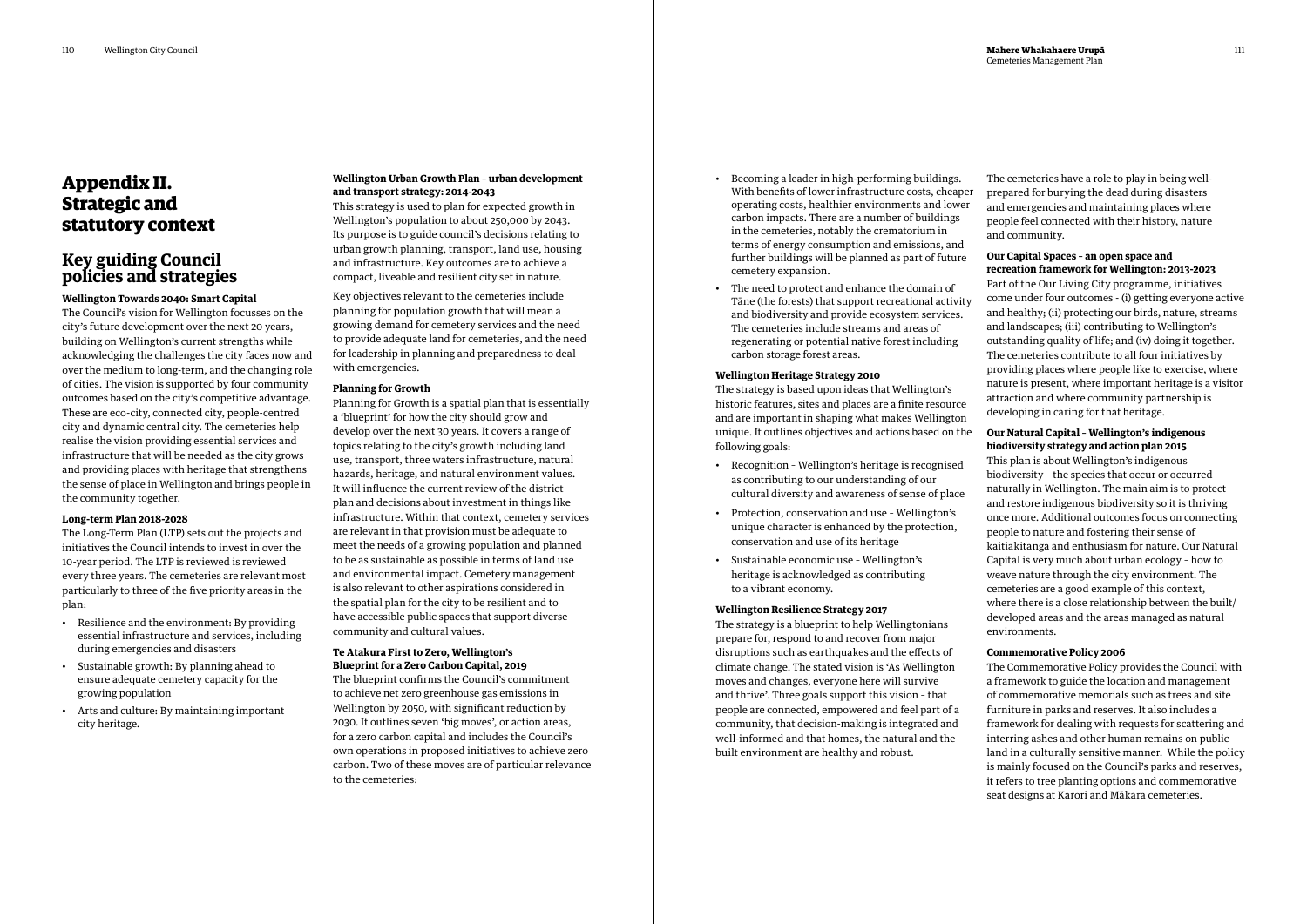### **Appendix II. Strategic and statutory context**

### **Key guiding Council policies and strategies**

### **Wellington Towards 2040: Smart Capital**

The Council's vision for Wellington focusses on the city's future development over the next 20 years, building on Wellington's current strengths while acknowledging the challenges the city faces now and over the medium to long-term, and the changing role of cities. The vision is supported by four community outcomes based on the city's competitive advantage. These are eco-city, connected city, people-centred city and dynamic central city. The cemeteries help realise the vision providing essential services and infrastructure that will be needed as the city grows and providing places with heritage that strengthens the sense of place in Wellington and brings people in the community together.

### **Long-term Plan 2018-2028**

The Long-Term Plan (LTP) sets out the projects and initiatives the Council intends to invest in over the 10-year period. The LTP is reviewed is reviewed every three years. The cemeteries are relevant most particularly to three of the five priority areas in the plan:

- Resilience and the environment: By providing essential infrastructure and services, including during emergencies and disasters
- Sustainable growth: By planning ahead to ensure adequate cemetery capacity for the growing population
- Arts and culture: By maintaining important city heritage.

### **Wellington Urban Growth Plan – urban development and transport strategy: 2014-2043**

This strategy is used to plan for expected growth in Wellington's population to about 250,000 by 2043. Its purpose is to guide council's decisions relating to urban growth planning, transport, land use, housing and infrastructure. Key outcomes are to achieve a compact, liveable and resilient city set in nature.

Key objectives relevant to the cemeteries include planning for population growth that will mean a growing demand for cemetery services and the need to provide adequate land for cemeteries, and the need for leadership in planning and preparedness to deal with emergencies.

### **Planning for Growth**

Planning for Growth is a spatial plan that is essentially a 'blueprint' for how the city should grow and develop over the next 30 years. It covers a range of topics relating to the city's growth including land use, transport, three waters infrastructure, natural hazards, heritage, and natural environment values. It will influence the current review of the district plan and decisions about investment in things like infrastructure. Within that context, cemetery services are relevant in that provision must be adequate to meet the needs of a growing population and planned to be as sustainable as possible in terms of land use and environmental impact. Cemetery management is also relevant to other aspirations considered in the spatial plan for the city to be resilient and to have accessible public spaces that support diverse community and cultural values.

#### **Te Atakura First to Zero, Wellington's Blueprint for a Zero Carbon Capital, 2019**

The blueprint confirms the Council's commitment to achieve net zero greenhouse gas emissions in Wellington by 2050, with significant reduction by 2030. It outlines seven 'big moves', or action areas, for a zero carbon capital and includes the Council's own operations in proposed initiatives to achieve zero carbon. Two of these moves are of particular relevance to the cemeteries:

- Becoming a leader in high-performing buildings. With benefits of lower infrastructure costs, cheaper operating costs, healthier environments and lower carbon impacts. There are a number of buildings in the cemeteries, notably the crematorium in terms of energy consumption and emissions, and further buildings will be planned as part of future cemetery expansion.
- The need to protect and enhance the domain of Tāne (the forests) that support recreational activity and biodiversity and provide ecosystem services. The cemeteries include streams and areas of regenerating or potential native forest including carbon storage forest areas.

#### **Wellington Heritage Strategy 2010**

The strategy is based upon ideas that Wellington's historic features, sites and places are a finite resource and are important in shaping what makes Wellington unique. It outlines objectives and actions based on the following goals:

- Recognition Wellington's heritage is recognised as contributing to our understanding of our cultural diversity and awareness of sense of place
- Protection, conservation and use Wellington's unique character is enhanced by the protection, conservation and use of its heritage
- Sustainable economic use Wellington's heritage is acknowledged as contributing to a vibrant economy.

#### **Wellington Resilience Strategy 2017**

The strategy is a blueprint to help Wellingtonians prepare for, respond to and recover from major disruptions such as earthquakes and the effects of climate change. The stated vision is 'As Wellington moves and changes, everyone here will survive and thrive'. Three goals support this vision – that people are connected, empowered and feel part of a community, that decision-making is integrated and well-informed and that homes, the natural and the built environment are healthy and robust.

The cemeteries have a role to play in being wellprepared for burying the dead during disasters and emergencies and maintaining places where people feel connected with their history, nature and community.

### **Our Capital Spaces – an open space and recreation framework for Wellington: 2013-2023**

Part of the Our Living City programme, initiatives come under four outcomes - (i) getting everyone active and healthy; (ii) protecting our birds, nature, streams and landscapes; (iii) contributing to Wellington's outstanding quality of life; and (iv) doing it together. The cemeteries contribute to all four initiatives by providing places where people like to exercise, where nature is present, where important heritage is a visitor attraction and where community partnership is developing in caring for that heritage.

### **Our Natural Capital – Wellington's indigenous biodiversity strategy and action plan 2015**

This plan is about Wellington's indigenous biodiversity – the species that occur or occurred naturally in Wellington. The main aim is to protect and restore indigenous biodiversity so it is thriving once more. Additional outcomes focus on connecting people to nature and fostering their sense of kaitiakitanga and enthusiasm for nature. Our Natural Capital is very much about urban ecology – how to weave nature through the city environment. The cemeteries are a good example of this context, where there is a close relationship between the built/ developed areas and the areas managed as natural environments.

### **Commemorative Policy 2006**

The Commemorative Policy provides the Council with a framework to guide the location and management of commemorative memorials such as trees and site furniture in parks and reserves. It also includes a framework for dealing with requests for scattering and interring ashes and other human remains on public land in a culturally sensitive manner. While the policy is mainly focused on the Council's parks and reserves, it refers to tree planting options and commemorative seat designs at Karori and Mākara cemeteries.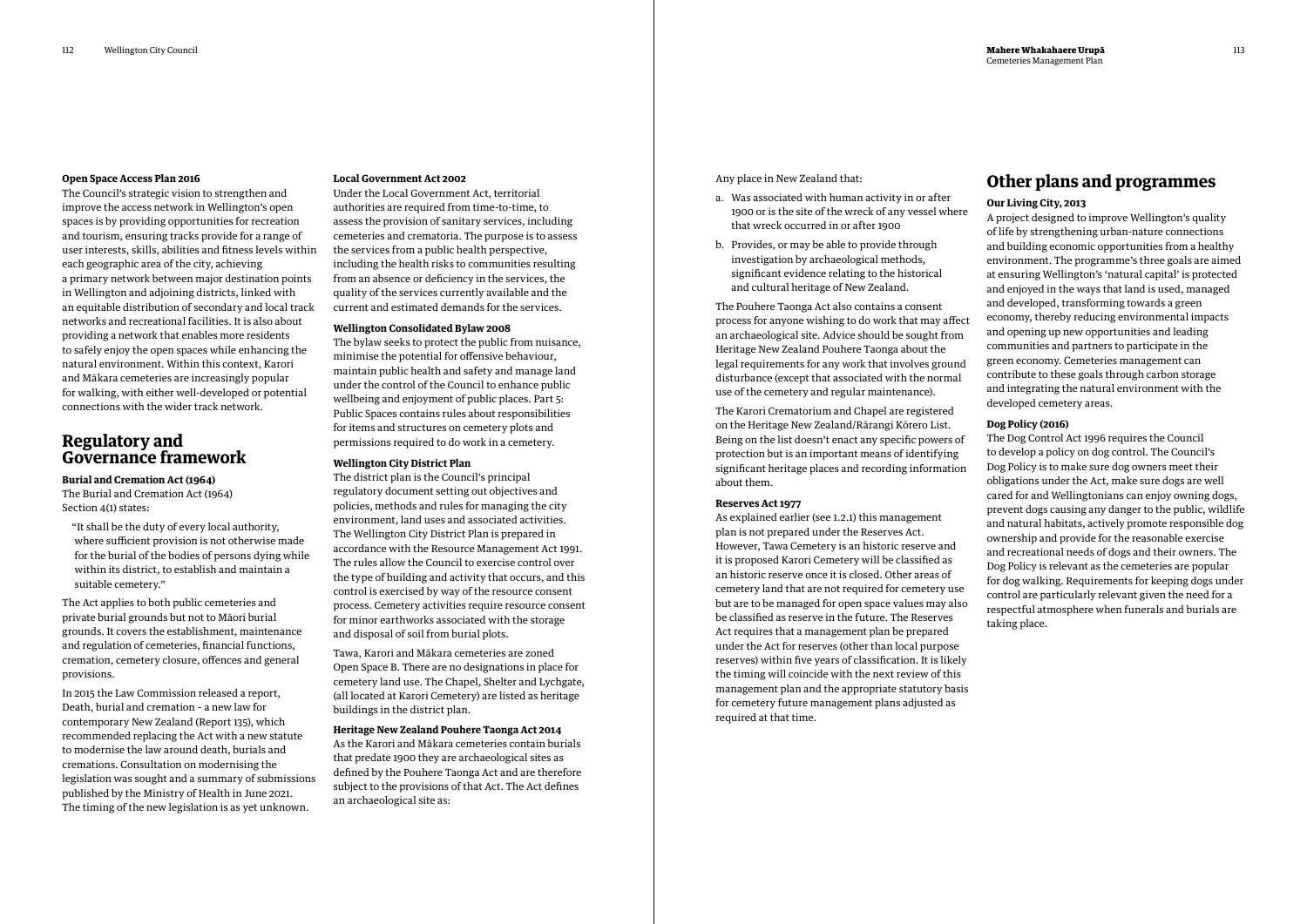#### **Open Space Access Plan 2016**

The Council's strategic vision to strengthen and improve the access network in Wellington's open spaces is by providing opportunities for recreation and tourism, ensuring tracks provide for a range of user interests, skills, abilities and fitness levels within each geographic area of the city, achieving a primary network between major destination points in Wellington and adjoining districts, linked with an equitable distribution of secondary and local track networks and recreational facilities. It is also about providing a network that enables more residents to safely enjoy the open spaces while enhancing the natural environment. Within this context, Karori and Mākara cemeteries are increasingly popular for walking, with either well-developed or potential connections with the wider track network.

### **Regulatory and Governance framework**

#### **Burial and Cremation Act (1964)**

The Burial and Cremation Act (1964) Section 4(1) states:

"It shall be the duty of every local authority, where sufficient provision is not otherwise made for the burial of the bodies of persons dying while within its district, to establish and maintain a suitable cemetery."

The Act applies to both public cemeteries and private burial grounds but not to Māori burial grounds. It covers the establishment, maintenance and regulation of cemeteries, financial functions, cremation, cemetery closure, offences and general provisions.

In 2015 the Law Commission released a report, Death, burial and cremation – a new law for contemporary New Zealand (Report 135), which recommended replacing the Act with a new statute to modernise the law around death, burials and cremations. Consultation on modernising the legislation was sought and a summary of submissions published by the Ministry of Health in June 2021. The timing of the new legislation is as yet unknown.

#### **Local Government Act 2002**

Under the Local Government Act, territorial authorities are required from time-to-time, to assess the provision of sanitary services, including cemeteries and crematoria. The purpose is to assess the services from a public health perspective, including the health risks to communities resulting from an absence or deficiency in the services, the quality of the services currently available and the current and estimated demands for the services.

### **Wellington Consolidated Bylaw 2008**

The bylaw seeks to protect the public from nuisance, minimise the potential for offensive behaviour, maintain public health and safety and manage land under the control of the Council to enhance public wellbeing and enjoyment of public places. Part 5: Public Spaces contains rules about responsibilities for items and structures on cemetery plots and permissions required to do work in a cemetery.

#### **Wellington City District Plan**

The district plan is the Council's principal regulatory document setting out objectives and policies, methods and rules for managing the city environment, land uses and associated activities. The Wellington City District Plan is prepared in accordance with the Resource Management Act 1991. The rules allow the Council to exercise control over the type of building and activity that occurs, and this control is exercised by way of the resource consent process. Cemetery activities require resource consent for minor earthworks associated with the storage and disposal of soil from burial plots.

Tawa, Karori and Mākara cemeteries are zoned Open Space B. There are no designations in place for cemetery land use. The Chapel, Shelter and Lychgate, (all located at Karori Cemetery) are listed as heritage buildings in the district plan.

### **Heritage New Zealand Pouhere Taonga Act 2014**

As the Karori and Mākara cemeteries contain burials that predate 1900 they are archaeological sites as defined by the Pouhere Taonga Act and are therefore subject to the provisions of that Act. The Act defines an archaeological site as:

Any place in New Zealand that:

- a. Was associated with human activity in or after 1900 or is the site of the wreck of any vessel where that wreck occurred in or after 1900
- b. Provides, or may be able to provide through investigation by archaeological methods, significant evidence relating to the historical and cultural heritage of New Zealand.

The Pouhere Taonga Act also contains a consent process for anyone wishing to do work that may affect an archaeological site. Advice should be sought from Heritage New Zealand Pouhere Taonga about the legal requirements for any work that involves ground disturbance (except that associated with the normal use of the cemetery and regular maintenance).

The Karori Crematorium and Chapel are registered on the Heritage New Zealand/Rārangi Kōrero List. Being on the list doesn't enact any specific powers of protection but is an important means of identifying significant heritage places and recording information about them.

### **Reserves Act 1977**

As explained earlier (see 1.2.1) this management plan is not prepared under the Reserves Act. However, Tawa Cemetery is an historic reserve and it is proposed Karori Cemetery will be classified as an historic reserve once it is closed. Other areas of cemetery land that are not required for cemetery use but are to be managed for open space values may also be classified as reserve in the future. The Reserves Act requires that a management plan be prepared under the Act for reserves (other than local purpose reserves) within five years of classification. It is likely the timing will coincide with the next review of this management plan and the appropriate statutory basis for cemetery future management plans adjusted as required at that time.

### **Other plans and programmes**

### **Our Living City, 2013**

A project designed to improve Wellington's quality of life by strengthening urban-nature connections and building economic opportunities from a healthy environment. The programme's three goals are aimed at ensuring Wellington's 'natural capital' is protected and enjoyed in the ways that land is used, managed and developed, transforming towards a green economy, thereby reducing environmental impacts and opening up new opportunities and leading communities and partners to participate in the green economy. Cemeteries management can contribute to these goals through carbon storage and integrating the natural environment with the developed cemetery areas.

#### **Dog Policy (2016)**

The Dog Control Act 1996 requires the Council to develop a policy on dog control. The Council's Dog Policy is to make sure dog owners meet their obligations under the Act, make sure dogs are well cared for and Wellingtonians can enjoy owning dogs, prevent dogs causing any danger to the public, wildlife and natural habitats, actively promote responsible dog ownership and provide for the reasonable exercise and recreational needs of dogs and their owners. The Dog Policy is relevant as the cemeteries are popular for dog walking. Requirements for keeping dogs under control are particularly relevant given the need for a respectful atmosphere when funerals and burials are taking place.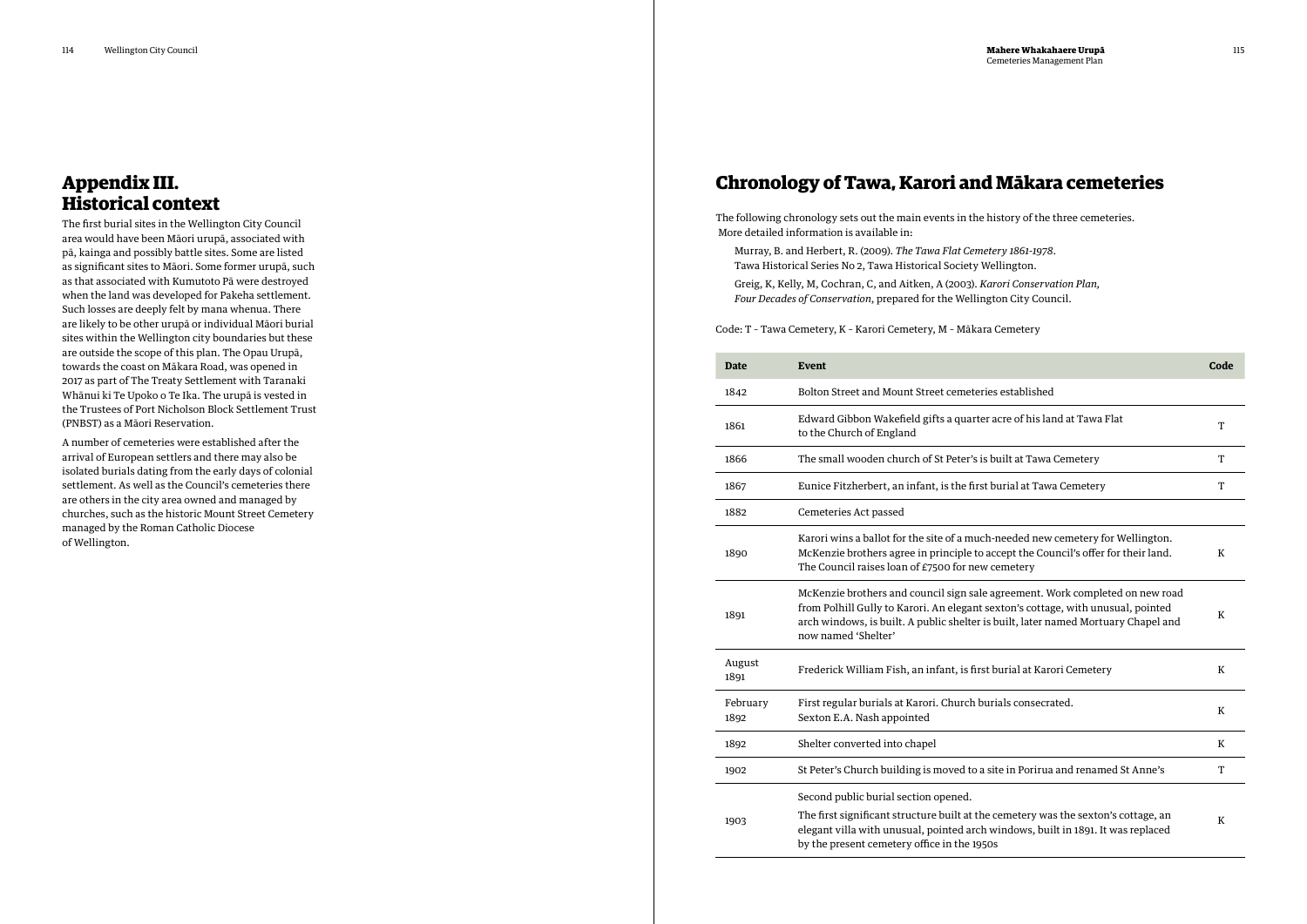## **Appendix III. Historical context**

The first burial sites in the Wellington City Council area would have been Māori urupā, associated with pā, kainga and possibly battle sites. Some are listed as significant sites to Māori. Some former urupā, such as that associated with Kumutoto Pā were destroyed when the land was developed for Pakeha settlement. Such losses are deeply felt by mana whenua. There are likely to be other urupā or individual Māori burial sites within the Wellington city boundaries but these are outside the scope of this plan. The Opau Urupā, towards the coast on Mākara Road, was opened in 2017 as part of The Treaty Settlement with Taranaki Whānui ki Te Upoko o Te Ika. The urupā is vested in the Trustees of Port Nicholson Block Settlement Trust (PNBST) as a Māori Reservation.

A number of cemeteries were established after the arrival of European settlers and there may also be isolated burials dating from the early days of colonial settlement. As well as the Council's cemeteries there are others in the city area owned and managed by churches, such as the historic Mount Street Cemetery managed by the Roman Catholic Diocese of Wellington.

The following chronology sets out the main events in the history of the three cemeteries. More detailed information is available in:

Murray, B. and Herbert, R. (2009). *The Tawa Flat Cemetery 1861-1978*. Tawa Historical Series No 2, Tawa Historical Society Wellington.

Greig, K, Kelly, M, Cochran, C, and Aitken, A (2003). *Karori Conservation Plan, Four Decades of Conservation*, prepared for the Wellington City Council.

Code: T – Tawa Cemetery, K – Karori Cemetery, M – Mākara Cemetery

| <b>Date</b>      | <b>Event</b>                                                                                                                                                                                                                                                                   | Code    |
|------------------|--------------------------------------------------------------------------------------------------------------------------------------------------------------------------------------------------------------------------------------------------------------------------------|---------|
| 1842             | Bolton Street and Mount Street cemeteries established                                                                                                                                                                                                                          |         |
| 1861             | Edward Gibbon Wakefield gifts a quarter acre of his land at Tawa Flat<br>to the Church of England                                                                                                                                                                              | T       |
| 1866             | The small wooden church of St Peter's is built at Tawa Cemetery                                                                                                                                                                                                                | T       |
| 1867             | Eunice Fitzherbert, an infant, is the first burial at Tawa Cemetery                                                                                                                                                                                                            | T       |
| 1882             | Cemeteries Act passed                                                                                                                                                                                                                                                          |         |
| 1890             | Karori wins a ballot for the site of a much-needed new cemetery for Wellington.<br>McKenzie brothers agree in principle to accept the Council's offer for their land.<br>The Council raises loan of £7500 for new cemetery                                                     | K       |
| 1891             | McKenzie brothers and council sign sale agreement. Work completed on new road<br>from Polhill Gully to Karori. An elegant sexton's cottage, with unusual, pointed<br>arch windows, is built. A public shelter is built, later named Mortuary Chapel and<br>now named 'Shelter' | K       |
| August<br>1891   | Frederick William Fish, an infant, is first burial at Karori Cemetery                                                                                                                                                                                                          | $\bf K$ |
| February<br>1892 | First regular burials at Karori. Church burials consecrated.<br>Sexton E.A. Nash appointed                                                                                                                                                                                     | K       |
| 1892             | Shelter converted into chapel                                                                                                                                                                                                                                                  | K       |
| 1902             | St Peter's Church building is moved to a site in Porirua and renamed St Anne's                                                                                                                                                                                                 | T       |
| 1903             | Second public burial section opened.<br>The first significant structure built at the cemetery was the sexton's cottage, an<br>elegant villa with unusual, pointed arch windows, built in 1891. It was replaced<br>by the present cemetery office in the 1950s                  | K       |

# **Chronology of Tawa, Karori and Mākara cemeteries**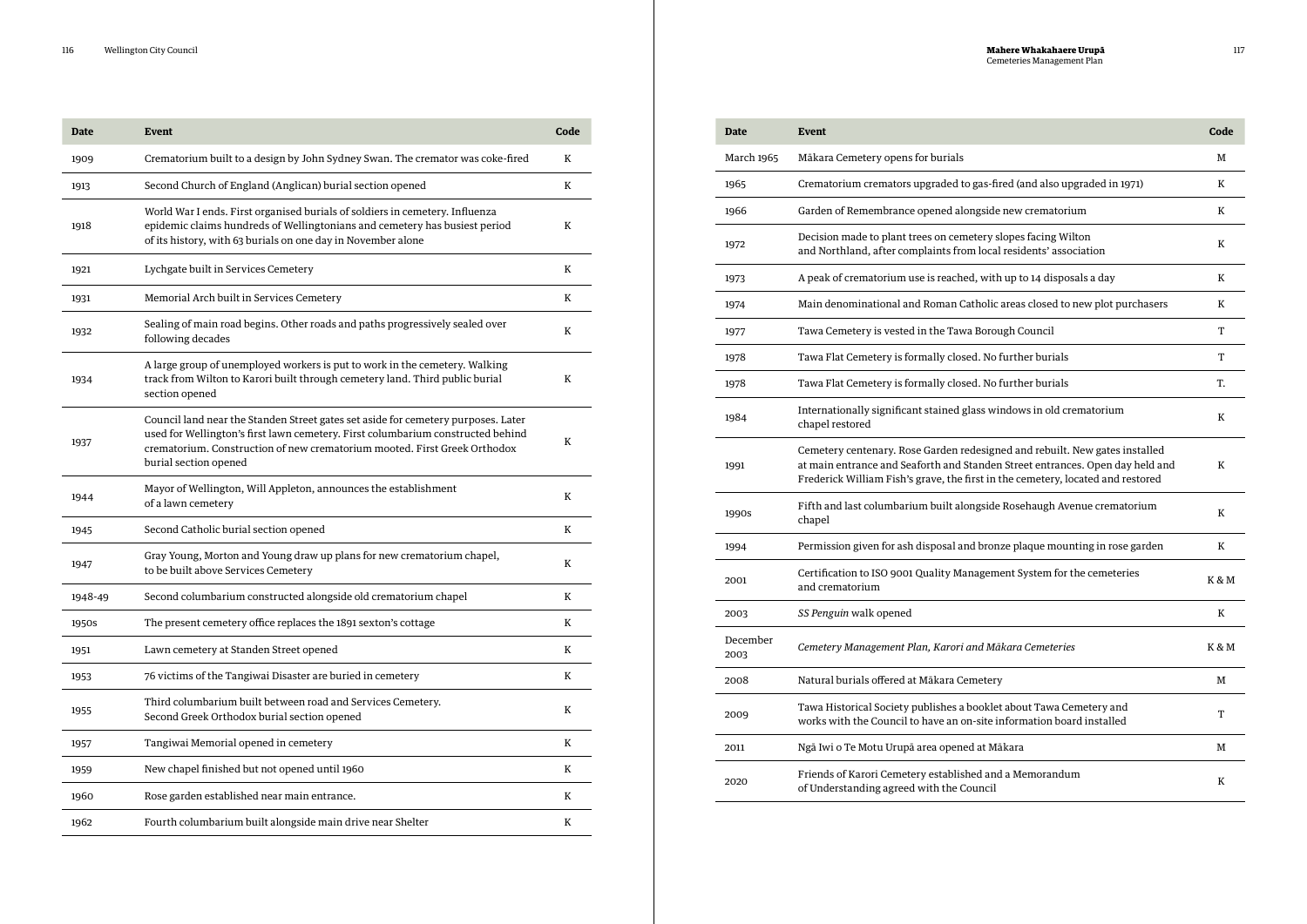| <b>Date</b> | <b>Event</b>                                                                                                                                                                                                                                                               | Code |
|-------------|----------------------------------------------------------------------------------------------------------------------------------------------------------------------------------------------------------------------------------------------------------------------------|------|
| 1909        | Crematorium built to a design by John Sydney Swan. The cremator was coke-fired                                                                                                                                                                                             | K    |
| 1913        | Second Church of England (Anglican) burial section opened                                                                                                                                                                                                                  | K    |
| 1918        | World War I ends. First organised burials of soldiers in cemetery. Influenza<br>epidemic claims hundreds of Wellingtonians and cemetery has busiest period<br>of its history, with 63 burials on one day in November alone                                                 | K    |
| 1921        | Lychgate built in Services Cemetery                                                                                                                                                                                                                                        | K    |
| 1931        | Memorial Arch built in Services Cemetery                                                                                                                                                                                                                                   | K    |
| 1932        | Sealing of main road begins. Other roads and paths progressively sealed over<br>following decades                                                                                                                                                                          | K    |
| 1934        | A large group of unemployed workers is put to work in the cemetery. Walking<br>track from Wilton to Karori built through cemetery land. Third public burial<br>section opened                                                                                              | K    |
| 1937        | Council land near the Standen Street gates set aside for cemetery purposes. Later<br>used for Wellington's first lawn cemetery. First columbarium constructed behind<br>crematorium. Construction of new crematorium mooted. First Greek Orthodox<br>burial section opened | K    |
| 1944        | Mayor of Wellington, Will Appleton, announces the establishment<br>of a lawn cemetery                                                                                                                                                                                      | K    |
| 1945        | Second Catholic burial section opened                                                                                                                                                                                                                                      | K    |
| 1947        | Gray Young, Morton and Young draw up plans for new crematorium chapel,<br>to be built above Services Cemetery                                                                                                                                                              | K    |
| 1948-49     | Second columbarium constructed alongside old crematorium chapel                                                                                                                                                                                                            | K    |
| 1950s       | The present cemetery office replaces the 1891 sexton's cottage                                                                                                                                                                                                             | K    |
| 1951        | Lawn cemetery at Standen Street opened                                                                                                                                                                                                                                     | K    |
| 1953        | 76 victims of the Tangiwai Disaster are buried in cemetery                                                                                                                                                                                                                 | K    |
| 1955        | Third columbarium built between road and Services Cemetery.<br>Second Greek Orthodox burial section opened                                                                                                                                                                 | K    |
| 1957        | Tangiwai Memorial opened in cemetery                                                                                                                                                                                                                                       | K    |
| 1959        | New chapel finished but not opened until 1960                                                                                                                                                                                                                              | K    |
| 1960        | Rose garden established near main entrance.                                                                                                                                                                                                                                | K    |
| 1962        | Fourth columbarium built alongside main drive near Shelter                                                                                                                                                                                                                 | K    |

| <b>Date</b>       | <b>Event</b>                                                                                                                                                                                                                                    | Code  |
|-------------------|-------------------------------------------------------------------------------------------------------------------------------------------------------------------------------------------------------------------------------------------------|-------|
| <b>March 1965</b> | Mākara Cemetery opens for burials                                                                                                                                                                                                               | M     |
| 1965              | Crematorium cremators upgraded to gas-fired (and also upgraded in 1971)                                                                                                                                                                         | K     |
| 1966              | Garden of Remembrance opened alongside new crematorium                                                                                                                                                                                          | K     |
| 1972              | Decision made to plant trees on cemetery slopes facing Wilton<br>and Northland, after complaints from local residents' association                                                                                                              | K     |
| 1973              | A peak of crematorium use is reached, with up to 14 disposals a day                                                                                                                                                                             | K     |
| 1974              | Main denominational and Roman Catholic areas closed to new plot purchasers                                                                                                                                                                      | K     |
| 1977              | Tawa Cemetery is vested in the Tawa Borough Council                                                                                                                                                                                             | T     |
| 1978              | Tawa Flat Cemetery is formally closed. No further burials                                                                                                                                                                                       | T     |
| 1978              | Tawa Flat Cemetery is formally closed. No further burials                                                                                                                                                                                       | T.    |
| 1984              | Internationally significant stained glass windows in old crematorium<br>chapel restored                                                                                                                                                         | K     |
| 1991              | Cemetery centenary. Rose Garden redesigned and rebuilt. New gates installed<br>at main entrance and Seaforth and Standen Street entrances. Open day held and<br>Frederick William Fish's grave, the first in the cemetery, located and restored | K     |
| 1990s             | Fifth and last columbarium built alongside Rosehaugh Avenue crematorium<br>chapel                                                                                                                                                               | K     |
| 1994              | Permission given for ash disposal and bronze plaque mounting in rose garden                                                                                                                                                                     | K     |
| 2001              | Certification to ISO 9001 Quality Management System for the cemeteries<br>and crematorium                                                                                                                                                       | K & M |
| 2003              | SS Penguin walk opened                                                                                                                                                                                                                          | K     |
| December<br>2003  | Cemetery Management Plan, Karori and Mākara Cemeteries                                                                                                                                                                                          | K & M |
| 2008              | Natural burials offered at Mākara Cemetery                                                                                                                                                                                                      | М     |
| 2009              | Tawa Historical Society publishes a booklet about Tawa Cemetery and<br>works with the Council to have an on-site information board installed                                                                                                    | T     |
| 2011              | Ngā Iwi o Te Motu Urupā area opened at Mākara                                                                                                                                                                                                   | М     |
| 2020              | Friends of Karori Cemetery established and a Memorandum<br>of Understanding agreed with the Council                                                                                                                                             | K     |

| Event                                                                                                                                                                                                                                           | Code    |
|-------------------------------------------------------------------------------------------------------------------------------------------------------------------------------------------------------------------------------------------------|---------|
| Mākara Cemetery opens for burials                                                                                                                                                                                                               | М       |
| Crematorium cremators upgraded to gas-fired (and also upgraded in 1971)                                                                                                                                                                         | K       |
| Garden of Remembrance opened alongside new crematorium                                                                                                                                                                                          | K       |
| Decision made to plant trees on cemetery slopes facing Wilton<br>and Northland, after complaints from local residents' association                                                                                                              | K       |
| A peak of crematorium use is reached, with up to 14 disposals a day                                                                                                                                                                             | K       |
| Main denominational and Roman Catholic areas closed to new plot purchasers                                                                                                                                                                      | K       |
| Tawa Cemetery is vested in the Tawa Borough Council                                                                                                                                                                                             | т       |
| Tawa Flat Cemetery is formally closed. No further burials                                                                                                                                                                                       | т       |
| Tawa Flat Cemetery is formally closed. No further burials                                                                                                                                                                                       | T.      |
| Internationally significant stained glass windows in old crematorium<br>chapel restored                                                                                                                                                         | $\bf K$ |
| Cemetery centenary. Rose Garden redesigned and rebuilt. New gates installed<br>at main entrance and Seaforth and Standen Street entrances. Open day held and<br>Frederick William Fish's grave, the first in the cemetery, located and restored | K       |
| Fifth and last columbarium built alongside Rosehaugh Avenue crematorium<br>chapel                                                                                                                                                               | K       |
| Permission given for ash disposal and bronze plaque mounting in rose garden                                                                                                                                                                     | K       |
| Certification to ISO 9001 Quality Management System for the cemeteries<br>and crematorium                                                                                                                                                       | K & M   |
| SS Penguin walk opened                                                                                                                                                                                                                          | K       |
| Cemetery Management Plan, Karori and Mākara Cemeteries                                                                                                                                                                                          | K & M   |
| Natural burials offered at Mākara Cemetery                                                                                                                                                                                                      | M       |
| Tawa Historical Society publishes a booklet about Tawa Cemetery and<br>works with the Council to have an on-site information board installed                                                                                                    | T       |
| Ngā Iwi o Te Motu Urupā area opened at Mākara                                                                                                                                                                                                   | М       |
| Friends of Karori Cemetery established and a Memorandum<br>of Understanding agreed with the Council                                                                                                                                             | K       |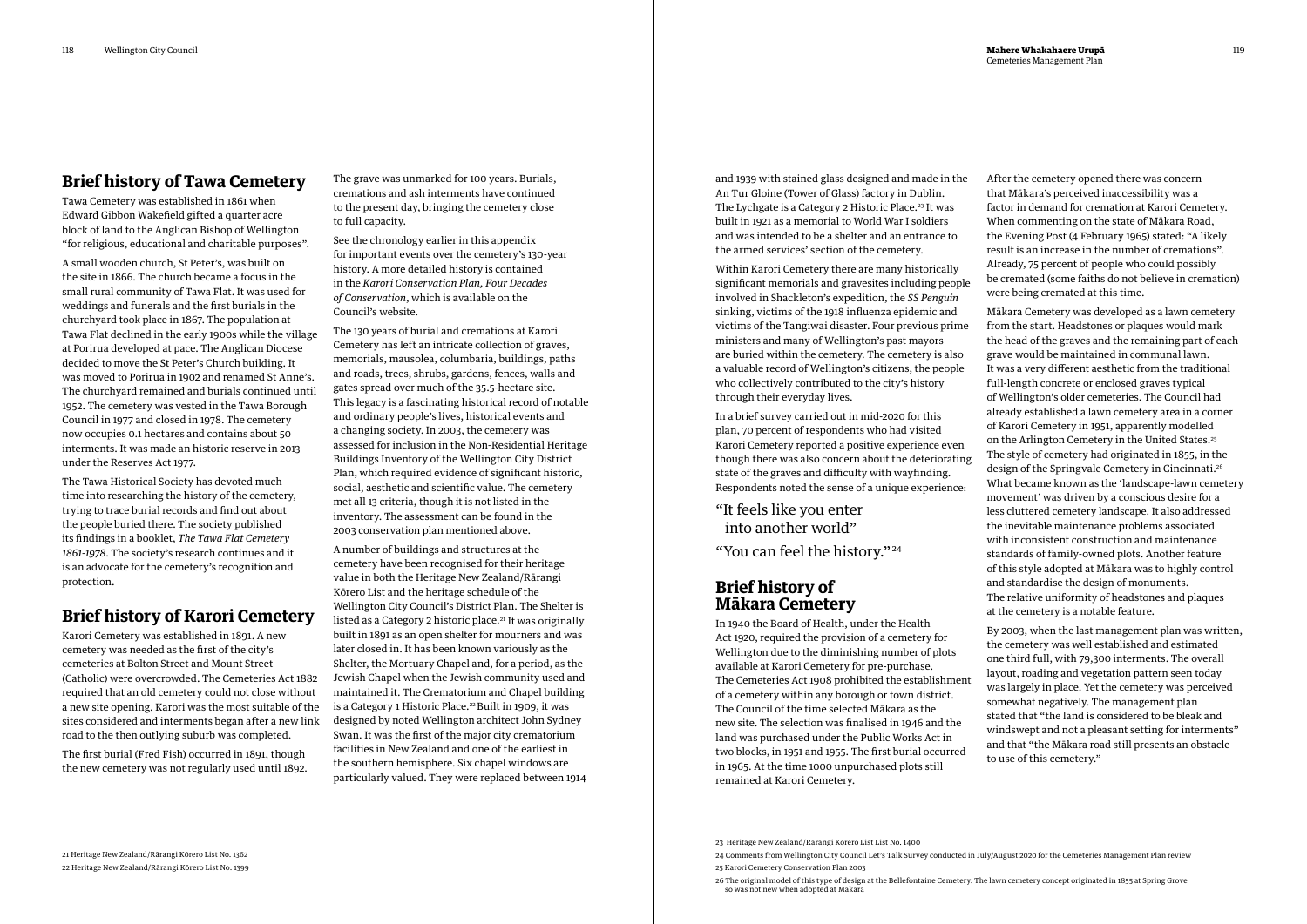### **Brief history of Tawa Cemetery**

Tawa Cemetery was established in 1861 when Edward Gibbon Wakefield gifted a quarter acre block of land to the Anglican Bishop of Wellington "for religious, educational and charitable purposes".

A small wooden church, St Peter's, was built on the site in 1866. The church became a focus in the small rural community of Tawa Flat. It was used for weddings and funerals and the first burials in the churchyard took place in 1867. The population at Tawa Flat declined in the early 1900s while the village at Porirua developed at pace. The Anglican Diocese decided to move the St Peter's Church building. It was moved to Porirua in 1902 and renamed St Anne's. The churchyard remained and burials continued until 1952. The cemetery was vested in the Tawa Borough Council in 1977 and closed in 1978. The cemetery now occupies 0.1 hectares and contains about 50 interments. It was made an historic reserve in 2013 under the Reserves Act 1977.

The Tawa Historical Society has devoted much time into researching the history of the cemetery, trying to trace burial records and find out about the people buried there. The society published its findings in a booklet, *The Tawa Flat Cemetery 1861-1978*. The society's research continues and it is an advocate for the cemetery's recognition and protection.

### **Brief history of Karori Cemetery**

Karori Cemetery was established in 1891. A new cemetery was needed as the first of the city's cemeteries at Bolton Street and Mount Street (Catholic) were overcrowded. The Cemeteries Act 1882 required that an old cemetery could not close without a new site opening. Karori was the most suitable of the sites considered and interments began after a new link road to the then outlying suburb was completed.

The first burial (Fred Fish) occurred in 1891, though the new cemetery was not regularly used until 1892. The grave was unmarked for 100 years. Burials, cremations and ash interments have continued to the present day, bringing the cemetery close to full capacity.

See the chronology earlier in this appendix for important events over the cemetery's 130-year history. A more detailed history is contained in the *Karori Conservation Plan, Four Decades of Conservation*, which is available on the Council's website.

The 130 years of burial and cremations at Karori Cemetery has left an intricate collection of graves, memorials, mausolea, columbaria, buildings, paths and roads, trees, shrubs, gardens, fences, walls and gates spread over much of the 35.5-hectare site. This legacy is a fascinating historical record of notable and ordinary people's lives, historical events and a changing society. In 2003, the cemetery was assessed for inclusion in the Non-Residential Heritage Buildings Inventory of the Wellington City District Plan, which required evidence of significant historic, social, aesthetic and scientific value. The cemetery met all 13 criteria, though it is not listed in the inventory. The assessment can be found in the 2003 conservation plan mentioned above.

A number of buildings and structures at the cemetery have been recognised for their heritage value in both the Heritage New Zealand/Rārangi Kōrero List and the heritage schedule of the Wellington City Council's District Plan. The Shelter is listed as a Category 2 historic place.<sup>21</sup> It was originally built in 1891 as an open shelter for mourners and was later closed in. It has been known variously as the Shelter, the Mortuary Chapel and, for a period, as the Jewish Chapel when the Jewish community used and maintained it. The Crematorium and Chapel building is a Category 1 Historic Place.<sup>22</sup> Built in 1909, it was designed by noted Wellington architect John Sydney Swan. It was the first of the major city crematorium facilities in New Zealand and one of the earliest in the southern hemisphere. Six chapel windows are particularly valued. They were replaced between 1914 and 1939 with stained glass designed and made in the An Tur Gloine (Tower of Glass) factory in Dublin. The Lychgate is a Category 2 Historic Place.<sup>23</sup> It was built in 1921 as a memorial to World War I soldiers and was intended to be a shelter and an entrance to the armed services' section of the cemetery.

Within Karori Cemetery there are many historically significant memorials and gravesites including people involved in Shackleton's expedition, the *SS Penguin* sinking, victims of the 1918 influenza epidemic and victims of the Tangiwai disaster. Four previous prime ministers and many of Wellington's past mayors are buried within the cemetery. The cemetery is also a valuable record of Wellington's citizens, the people who collectively contributed to the city's history through their everyday lives.

In a brief survey carried out in mid-2020 for this plan, 70 percent of respondents who had visited Karori Cemetery reported a positive experience even though there was also concern about the deteriorating state of the graves and difficulty with wayfinding. Respondents noted the sense of a unique experience:

"It feels like you enter into another world"

"You can feel the history."24

### **Brief history of Mākara Cemetery**

In 1940 the Board of Health, under the Health Act 1920, required the provision of a cemetery for Wellington due to the diminishing number of plots available at Karori Cemetery for pre-purchase. The Cemeteries Act 1908 prohibited the establishment of a cemetery within any borough or town district. The Council of the time selected Mākara as the new site. The selection was finalised in 1946 and the land was purchased under the Public Works Act in two blocks, in 1951 and 1955. The first burial occurred in 1965. At the time 1000 unpurchased plots still remained at Karori Cemetery.

After the cemetery opened there was concern that Mākara's perceived inaccessibility was a factor in demand for cremation at Karori Cemetery. When commenting on the state of Mākara Road, the Evening Post (4 February 1965) stated: "A likely result is an increase in the number of cremations". Already, 75 percent of people who could possibly be cremated (some faiths do not believe in cremation) were being cremated at this time.

Mākara Cemetery was developed as a lawn cemetery from the start. Headstones or plaques would mark the head of the graves and the remaining part of each grave would be maintained in communal lawn. It was a very different aesthetic from the traditional full-length concrete or enclosed graves typical of Wellington's older cemeteries. The Council had already established a lawn cemetery area in a corner of Karori Cemetery in 1951, apparently modelled on the Arlington Cemetery in the United States.25 The style of cemetery had originated in 1855, in the design of the Springvale Cemetery in Cincinnati.26 What became known as the 'landscape-lawn cemetery movement' was driven by a conscious desire for a less cluttered cemetery landscape. It also addressed the inevitable maintenance problems associated with inconsistent construction and maintenance standards of family-owned plots. Another feature of this style adopted at Mākara was to highly control and standardise the design of monuments. The relative uniformity of headstones and plaques at the cemetery is a notable feature.

By 2003, when the last management plan was written, the cemetery was well established and estimated one third full, with 79,300 interments. The overall layout, roading and vegetation pattern seen today was largely in place. Yet the cemetery was perceived somewhat negatively. The management plan stated that "the land is considered to be bleak and windswept and not a pleasant setting for interments" and that "the Mākara road still presents an obstacle to use of this cemetery."

24 Comments from Wellington City Council Let's Talk Survey conducted in July/August 2020 for the Cemeteries Management Plan review

25 Karori Cemetery Conservation Plan 2003

26 The original model of this type of design at the Bellefontaine Cemetery. The lawn cemetery concept originated in 1855 at Spring Grove so was not new when adopted at Mākara

<sup>23</sup> Heritage New Zealand/Rārangi Kōrero List List No. 1400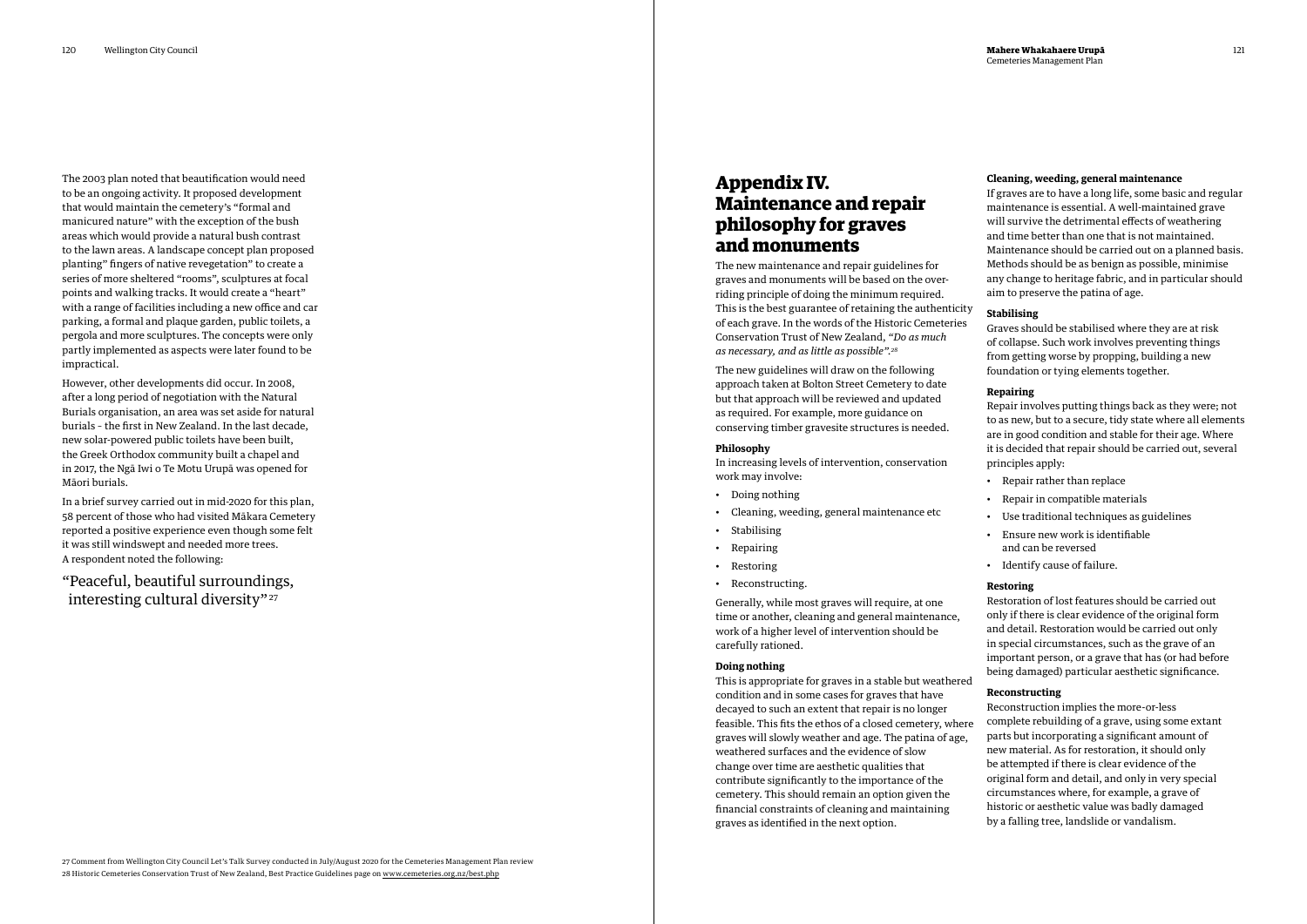The 2003 plan noted that beautification would need to be an ongoing activity. It proposed development that would maintain the cemetery's "formal and manicured nature" with the exception of the bush areas which would provide a natural bush contrast to the lawn areas. A landscape concept plan proposed planting" fingers of native revegetation" to create a series of more sheltered "rooms", sculptures at focal points and walking tracks. It would create a "heart" with a range of facilities including a new office and car parking, a formal and plaque garden, public toilets, a pergola and more sculptures. The concepts were only partly implemented as aspects were later found to be impractical.

"Peaceful, beautiful surroundings, interesting cultural diversity"<sup>27</sup>

However, other developments did occur. In 2008, after a long period of negotiation with the Natural Burials organisation, an area was set aside for natural burials – the first in New Zealand. In the last decade, new solar-powered public toilets have been built, the Greek Orthodox community built a chapel and in 2017, the Ngā Iwi o Te Motu Urupā was opened for Māori burials.

In a brief survey carried out in mid-2020 for this plan, 58 percent of those who had visited Mākara Cemetery reported a positive experience even though some felt it was still windswept and needed more trees. A respondent noted the following:

## **Appendix IV. Maintenance and repair philosophy for graves and monuments**

The new maintenance and repair guidelines for graves and monuments will be based on the overriding principle of doing the minimum required. This is the best guarantee of retaining the authenticity of each grave. In the words of the Historic Cemeteries Conservation Trust of New Zealand, *"Do as much as necessary, and as little as possible".28* 

The new guidelines will draw on the following approach taken at Bolton Street Cemetery to date but that approach will be reviewed and updated as required. For example, more guidance on conserving timber gravesite structures is needed.

### **Philosophy**

In increasing levels of intervention, conservation work may involve:

- Doing nothing
- Cleaning, weeding, general maintenance etc
- Stabilising
- Repairing
- Restoring
- Reconstructing.

Generally, while most graves will require, at one time or another, cleaning and general maintenance, work of a higher level of intervention should be carefully rationed.

#### **Doing nothing**

This is appropriate for graves in a stable but weathered condition and in some cases for graves that have decayed to such an extent that repair is no longer feasible. This fits the ethos of a closed cemetery, where graves will slowly weather and age. The patina of age, weathered surfaces and the evidence of slow change over time are aesthetic qualities that contribute significantly to the importance of the cemetery. This should remain an option given the financial constraints of cleaning and maintaining graves as identified in the next option.

### **Cleaning, weeding, general maintenance**

If graves are to have a long life, some basic and regular maintenance is essential. A well-maintained grave will survive the detrimental effects of weathering and time better than one that is not maintained. Maintenance should be carried out on a planned basis. Methods should be as benign as possible, minimise any change to heritage fabric, and in particular should aim to preserve the patina of age.

### **Stabilising**

Graves should be stabilised where they are at risk of collapse. Such work involves preventing things from getting worse by propping, building a new foundation or tying elements together.

### **Repairing**

Repair involves putting things back as they were; not to as new, but to a secure, tidy state where all elements are in good condition and stable for their age. Where it is decided that repair should be carried out, several principles apply:

- Repair rather than replace
- Repair in compatible materials
- Use traditional techniques as guidelines
- Ensure new work is identifiable and can be reversed
- Identify cause of failure.

### **Restoring**

Restoration of lost features should be carried out only if there is clear evidence of the original form and detail. Restoration would be carried out only in special circumstances, such as the grave of an important person, or a grave that has (or had before being damaged) particular aesthetic significance.

### **Reconstructing**

Reconstruction implies the more-or-less complete rebuilding of a grave, using some extant parts but incorporating a significant amount of new material. As for restoration, it should only be attempted if there is clear evidence of the original form and detail, and only in very special circumstances where, for example, a grave of historic or aesthetic value was badly damaged by a falling tree, landslide or vandalism.